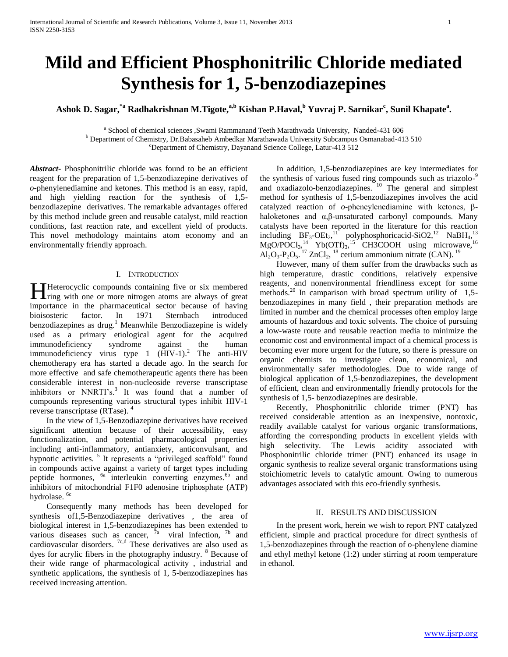# **Mild and Efficient Phosphonitrilic Chloride mediated Synthesis for 1, 5-benzodiazepines**

**Ashok D. Sagar,\*a Radhakrishnan M.Tigote,a,b Kishan P.Haval,<sup>b</sup> Yuvraj P. Sarnikar<sup>c</sup> , Sunil Khapate<sup>a</sup> .**

<sup>a</sup> School of chemical sciences ,Swami Rammanand Teeth Marathwada University, Nanded-431 606 <sup>b</sup> Department of Chemistry, Dr.Babasaheb Ambedkar Marathawada University Subcampus Osmanabad-413 510

<sup>c</sup>Department of Chemistry, Dayanand Science College, Latur-413 512

*Abstract***-** Phosphonitrilic chloride was found to be an efficient reagent for the preparation of 1,5-benzodiazepine derivatives of *o*-phenylenediamine and ketones. This method is an easy, rapid, and high yielding reaction for the synthesis of 1,5 benzodiazepine derivatives. The remarkable advantages offered by this method include green and reusable catalyst, mild reaction conditions, fast reaction rate, and excellent yield of products. This novel methodology maintains atom economy and an environmentally friendly approach.

## I. INTRODUCTION

**THeterocyclic compounds containing five or six membered** Heterocyclic compounds containing five or six membered<br>
Iring with one or more nitrogen atoms are always of great importance in the pharmaceutical sector because of having bioisosteric factor. In 1971 Sternbach introduced benzodiazepines as drug.<sup>1</sup> Meanwhile Benzodiazepine is widely used as a primary etiological agent for the acquired immunodeficiency syndrome against the human immunodeficiency virus type  $1$  (HIV-1).<sup>2</sup> The anti-HIV chemotherapy era has started a decade ago. In the search for more effective and safe chemotherapeutic agents there has been considerable interest in non-nucleoside reverse transcriptase inhibitors or NNRTI's.<sup>3</sup> It was found that a number of compounds representing various structural types inhibit HIV-1 reverse transcriptase (RTase). <sup>4</sup>

 In the view of 1,5-Benzodiazepine derivatives have received significant attention because of their accessibility, easy functionalization, and potential pharmacological properties including anti-inflammatory, antianxiety, anticonvulsant, and hypnotic activities.<sup>5</sup> It represents a "privileged scaffold" found in compounds active against a variety of target types including peptide hormones,  $^{6a}$  interleukin converting enzymes.<sup>6b</sup> and inhibitors of mitochondrial F1F0 adenosine triphosphate (ATP) hydrolase.<sup>6c</sup>

 Consequently many methods has been developed for synthesis of1,5-Benzodiazepine derivatives , the area of biological interest in 1,5-benzodiazepines has been extended to various diseases such as cancer,  $\lambda$ <sup>2</sup> viral infection,  $\lambda$ <sup>5</sup> and cardiovascular disorders. 7c,d These derivatives are also used as dyes for acrylic fibers in the photography industry. <sup>8</sup> Because of their wide range of pharmacological activity , industrial and synthetic applications, the synthesis of 1, 5-benzodiazepines has received increasing attention.

 In addition, 1,5-benzodiazepines are key intermediates for the synthesis of various fused ring compounds such as triazolo-9 and oxadiazolo-benzodiazepines. <sup>10</sup> The general and simplest method for synthesis of 1,5-benzodiazepines involves the acid catalyzed reaction of *o*-pheneylenediamine with ketones, βhaloketones and α,β-unsaturated carbonyl compounds. Many catalysts have been reported in the literature for this reaction including  $BF_3-OEt_2$ ,<sup>11</sup> polyphosphoricacid-SiO2,<sup>12</sup> NaBH<sub>4</sub>,<sup>13</sup>  $MgO/POCl<sub>3</sub>,<sup>14</sup> Yb(OTf)<sub>3</sub>,<sup>15</sup> CH3COOH using microwave, <sup>16</sup>$  $\text{Al}_2\text{O}_3\text{-P}_2\text{O}_5$ . <sup>17</sup> ZnCl<sub>2</sub>, <sup>18</sup> cerium ammonium nitrate (CAN). <sup>19</sup>

 However, many of them suffer from the drawbacks such as high temperature, drastic conditions, relatively expensive reagents, and nonenvironmental friendliness except for some methods.<sup>20</sup> In camparison with broad spectrum utility of  $1,5$ benzodiazepines in many field , their preparation methods are limited in number and the chemical processes often employ large amounts of hazardous and toxic solvents. The choice of pursuing a low-waste route and reusable reaction media to minimize the economic cost and environmental impact of a chemical process is becoming ever more urgent for the future, so there is pressure on organic chemists to investigate clean, economical, and environmentally safer methodologies. Due to wide range of biological application of 1,5-benzodiazepines, the development of efficient, clean and environmentally friendly protocols for the synthesis of 1,5- benzodiazepines are desirable.

 Recently, Phosphonitrilic chloride trimer (PNT) has received considerable attention as an inexpensive, nontoxic, readily available catalyst for various organic transformations, affording the corresponding products in excellent yields with high selectivity. The Lewis acidity associated with Phosphonitrilic chloride trimer (PNT) enhanced its usage in organic synthesis to realize several organic transformations using stoichiometric levels to catalytic amount. Owing to numerous advantages associated with this eco-friendly synthesis.

## II. RESULTS AND DISCUSSION

 In the present work, herein we wish to report PNT catalyzed efficient, simple and practical procedure for direct synthesis of 1,5-benzodiazepines through the reaction of o-phenylene diamine and ethyl methyl ketone (1:2) under stirring at room temperature in ethanol.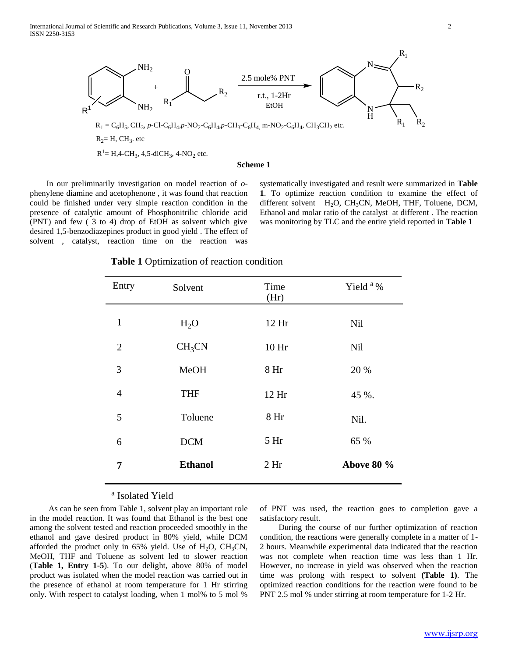

**Scheme 1**

 In our preliminarily investigation on model reaction of *o*phenylene diamine and acetophenone , it was found that reaction could be finished under very simple reaction condition in the presence of catalytic amount of Phosphonitrilic chloride acid (PNT) and few ( 3 to 4) drop of EtOH as solvent which give desired 1,5-benzodiazepines product in good yield . The effect of solvent , catalyst, reaction time on the reaction was systematically investigated and result were summarized in **Table 1**. To optimize reaction condition to examine the effect of different solvent  $H_2O$ , CH<sub>3</sub>CN, MeOH, THF, Toluene, DCM, Ethanol and molar ratio of the catalyst at different . The reaction was monitoring by TLC and the entire yield reported in **Table 1** 

| <b>Table 1</b> Optimization of reaction condition |  |
|---------------------------------------------------|--|
|                                                   |  |

| Entry          | Solvent            | Time<br>(Hr)     | Yield <sup>a %</sup> |  |
|----------------|--------------------|------------------|----------------------|--|
| $\mathbf{1}$   | H <sub>2</sub> O   | 12 Hr            | <b>Nil</b>           |  |
| $\overline{2}$ | CH <sub>3</sub> CN | 10 <sub>hr</sub> | <b>Nil</b>           |  |
| 3              | <b>MeOH</b>        | 8 <sub>hr</sub>  | 20 %                 |  |
| $\overline{4}$ | <b>THF</b>         | 12 Hr            | 45 %.                |  |
| 5              | Toluene            | 8 <sub>hr</sub>  | Nil.                 |  |
| 6              | <b>DCM</b>         | 5 <sub>hr</sub>  | 65 %                 |  |
| 7              | <b>Ethanol</b>     | 2 <sub>hr</sub>  | <b>Above 80 %</b>    |  |
|                |                    |                  |                      |  |

# a Isolated Yield

 As can be seen from Table 1, solvent play an important role in the model reaction. It was found that Ethanol is the best one among the solvent tested and reaction proceeded smoothly in the ethanol and gave desired product in 80% yield, while DCM afforded the product only in 65% yield. Use of  $H_2O$ ,  $CH_3CN$ , MeOH, THF and Toluene as solvent led to slower reaction (**Table 1, Entry 1-5**). To our delight, above 80% of model product was isolated when the model reaction was carried out in the presence of ethanol at room temperature for 1 Hr stirring only. With respect to catalyst loading, when 1 mol% to 5 mol %

of PNT was used, the reaction goes to completion gave a satisfactory result.

 During the course of our further optimization of reaction condition, the reactions were generally complete in a matter of 1- 2 hours. Meanwhile experimental data indicated that the reaction was not complete when reaction time was less than 1 Hr. However, no increase in yield was observed when the reaction time was prolong with respect to solvent **(Table 1)**. The optimized reaction conditions for the reaction were found to be PNT 2.5 mol % under stirring at room temperature for 1-2 Hr.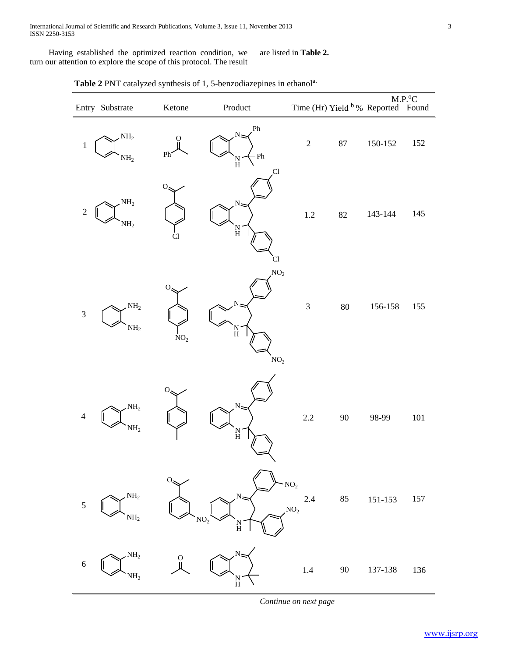Having established the optimized reaction condition, we turn our attention to explore the scope of this protocol. The result are listed in **Table 2.** 

| Entry Substrate                                               | Ketone                         | $\bf Product$                                                                    |                                           |        | Time (Hr) Yield $\frac{M.P. \text{°C}}{M.P. \text{°C}}$ |     |
|---------------------------------------------------------------|--------------------------------|----------------------------------------------------------------------------------|-------------------------------------------|--------|---------------------------------------------------------|-----|
| NH <sub>2</sub><br>$\,1\,$<br>NH <sub>2</sub>                 | Ö<br>Ph                        | Ph<br>$N_{\leq}$<br>- Ph<br>$_{\rm H}^{\rm N}$<br>Cl <sub>,</sub>                | $\sqrt{2}$                                | $87\,$ | $150 - 152$                                             | 152 |
| NH <sub>2</sub><br>$\sqrt{2}$<br>NH <sub>2</sub>              | $O_{\rm S}$<br><b>Cl</b>       | $N_z$<br>$\frac{\text{N}}{\text{H}}$<br>C <sub>1</sub>                           | $1.2\,$                                   | $82\,$ | 143-144                                                 | 145 |
| $\mathrm{NH}_2$<br>$\overline{\mathbf{3}}$<br>NH <sub>2</sub> | $O_{\rm S}$<br>NO <sub>2</sub> | NO <sub>2</sub><br>$\overline{\rm N}$ .<br>$_{\rm H}^{\rm N}$<br>NO <sub>2</sub> | $\sqrt{3}$                                | $80\,$ | 156-158                                                 | 155 |
| $\mathrm{NH}_2$<br>$\overline{4}$<br>NH <sub>2</sub>          | Ο.                             | N<br>$\frac{\text{N}}{\text{H}}$                                                 | $2.2\,$                                   | 90     | 98-99                                                   | 101 |
| NH <sub>2</sub><br>5<br>NH <sub>2</sub>                       | О.                             | $N_z$<br>NO <sub>2</sub><br>$_{\rm H}^{\rm N}$                                   | NO <sub>2</sub><br>2.4<br>NO <sub>2</sub> | $85\,$ | $151 - 153$                                             | 157 |
| NH <sub>2</sub><br>$\boldsymbol{6}$<br>NH <sub>2</sub>        | $\frac{0}{1}$                  | N<br>H                                                                           | 1.4                                       | 90     | 137-138                                                 | 136 |

Table 2 PNT catalyzed synthesis of 1, 5-benzodiazepines in ethanol<sup>a.</sup>

*Continue on next page*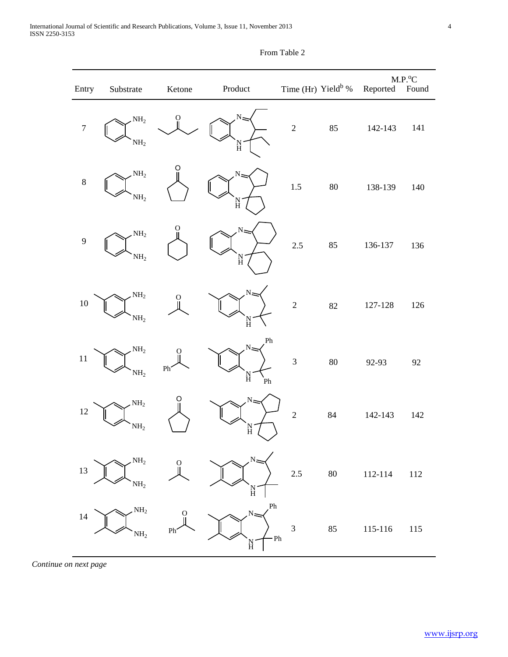| Entry            | Substrate                          | Ketone                    | $\bf Product$                       | Time (Hr) Yield <sup>b</sup> % |        | Reported    | $\text{M.P.}^{\text{o}}\text{C}$<br>Found |
|------------------|------------------------------------|---------------------------|-------------------------------------|--------------------------------|--------|-------------|-------------------------------------------|
| $\boldsymbol{7}$ | $\mathrm{NH}_2$<br>NH <sub>2</sub> | O                         | N<br>H                              | $\sqrt{2}$                     | 85     | 142-143     | 141                                       |
| 8                | NH <sub>2</sub><br>NH <sub>2</sub> |                           | N<br>$_{\rm H}^{\rm N}$             | $1.5\,$                        | 80     | 138-139     | 140                                       |
| 9                | $\mathrm{NH}_2$<br>NH <sub>2</sub> | 0                         | N<br>$_{\rm H}^{\rm N}$             | 2.5                            | 85     | 136-137     | 136                                       |
| $10\,$           | NH <sub>2</sub><br>NH <sub>2</sub> | O                         | N<br>H                              | $\overline{c}$                 | 82     | 127-128     | 126                                       |
| 11               | $\mathrm{NH}_2$<br>NH <sub>2</sub> | О<br>Ph                   | Ph<br>N<br>$_{\rm H}^{\rm N}$<br>Ph | $\overline{\mathbf{3}}$        | $80\,$ | 92-93       | 92                                        |
| $12\,$           | NH <sub>2</sub><br>NH <sub>2</sub> |                           | $_{\rm H}^{\rm N}$                  | $\overline{c}$                 | 84     | 142-143     | 142                                       |
| $13\,$           | $\mathrm{NH}_2$<br>NH <sub>2</sub> | O                         | N<br>H                              | $2.5\,$                        | $80\,$ | $112 - 114$ | 112                                       |
| 14               | NH <sub>2</sub><br>NH <sub>2</sub> | $\ddot{\mathrm{o}}$<br>Ph | Ph<br>Ph                            | $\mathfrak{Z}$                 | 85     | $115 - 116$ | 115                                       |

From Table 2

*Continue on next page*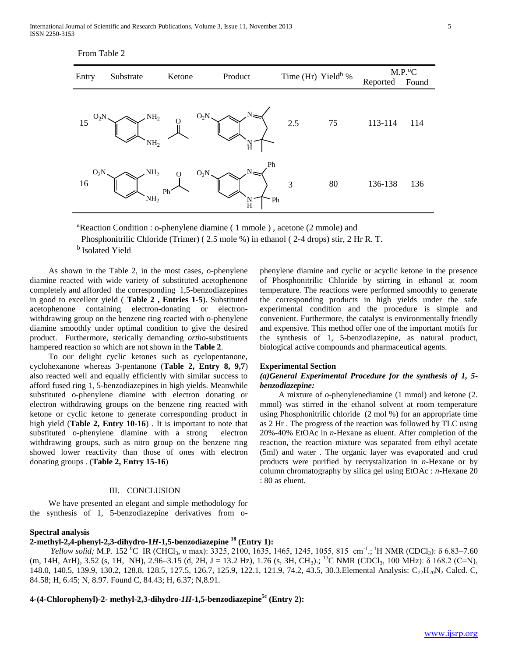International Journal of Scientific and Research Publications, Volume 3, Issue 11, November 2013 5 ISSN 2250-3153

| From Table 2 |  |
|--------------|--|
|--------------|--|

| Entry        | Substrate                          | Time (Hr) Yield <sup>b</sup> %<br>Product<br>Ketone |                         |     | $M.P.^{\circ}C$ |                     |              |
|--------------|------------------------------------|-----------------------------------------------------|-------------------------|-----|-----------------|---------------------|--------------|
| $O_2N$<br>15 | NH <sub>2</sub><br>NH <sub>2</sub> | $O_2N$<br>O                                         | H                       | 2.5 | 75              | Reported<br>113-114 | Found<br>114 |
| $O_2N$<br>16 | NH <sub>2</sub><br>NH <sub>2</sub> | $O_2N$<br>O<br>Ph <sup>2</sup>                      | Ph<br>N<br>Ph<br>N<br>H | 3   | 80              | 136-138             | 136          |

<sup>a</sup>Reaction Condition : o-phenylene diamine ( 1 mmole ) , acetone (2 mmole) and Phosphonitrilic Chloride (Trimer) ( 2.5 mole %) in ethanol ( 2-4 drops) stir, 2 Hr R. T. **b** Isolated Yield

 As shown in the Table 2, in the most cases, o-phenylene diamine reacted with wide variety of substituted acetophenone completely and afforded the corresponding 1,5-benzodiazepines in good to excellent yield ( **Table 2 , Entries 1-5**). Substituted acetophenone containing electron-donating or electronwithdrawing group on the benzene ring reacted with o-phenylene diamine smoothly under optimal condition to give the desired product. Furthermore, sterically demanding *ortho*-substituents hampered reaction so which are not shown in the **Table 2**.

 To our delight cyclic ketones such as cyclopentanone, cyclohexanone whereas 3-pentanone (**Table 2, Entry 8, 9,7**) also reacted well and equally efficiently with similar success to afford fused ring 1, 5-benzodiazepines in high yields. Meanwhile substituted o-phenylene diamine with electron donating or electron withdrawing groups on the benzene ring reacted with ketone or cyclic ketone to generate corresponding product in high yield (**Table 2, Entry 10-16**) . It is important to note that substituted o-phenylene diamine with a strong electron withdrawing groups, such as nitro group on the benzene ring showed lower reactivity than those of ones with electron donating groups . (**Table 2, Entry 15-16**)

#### III. CONCLUSION

 We have presented an elegant and simple methodology for the synthesis of 1, 5-benzodiazepine derivatives from o-

## **Spectral analysis**

# **2-methyl-2,4-phenyl-2,3-dihydro-1***H***-1,5-benzodiazepine <sup>18</sup> (Entry 1):**

*Yellow solid;* M.P. 152<sup>°</sup>C IR (CHCl<sub>3</sub>, *v* max): 3325, 2100, 1635, 1465, 1245, 1055, 815 cm<sup>-1</sup>.; <sup>1</sup>H NMR (CDCl<sub>3</sub>): δ 6.83–7.60 (m, 14H, ArH), 3.52 (s, 1H, NH), 2.96–3.15 (d, 2H, J = 13.2 Hz), 1.76 (s, 3H, CH<sub>3</sub>).; <sup>13</sup>C NMR (CDCl<sub>3</sub>, 100 MHz):  $\delta$  168.2 (C=N), 148.0, 140.5, 139.9, 130.2, 128.8, 128.5, 127.5, 126.7, 125.9, 122.1, 121.9, 74.2, 43.5, 30.3. Elemental Analysis: C<sub>22</sub>H<sub>20</sub>N<sub>2</sub> Calcd. C, 84.58; H, 6.45; N, 8.97. Found C, 84.43; H, 6.37; N,8.91.

**4-(4-Chlorophenyl)-2- methyl-2,3-dihydro-***1H***-1,5-benzodiazepine5c (Entry 2):**

phenylene diamine and cyclic or acyclic ketone in the presence of Phosphonitrilic Chloride by stirring in ethanol at room temperature. The reactions were performed smoothly to generate the corresponding products in high yields under the safe experimental condition and the procedure is simple and convenient. Furthermore, the catalyst is environmentally friendly and expensive. This method offer one of the important motifs for the synthesis of 1, 5-benzodiazepine, as natural product, biological active compounds and pharmaceutical agents.

#### **Experimental Section**

## *(a)General Experimental Procedure for the synthesis of 1, 5 benzodiazepine:*

 A mixture of *o*-phenylenediamine (1 mmol) and ketone (2. mmol) was stirred in the ethanol solvent at room temperature using Phosphonitrilic chloride (2 mol %) for an appropriate time as 2 Hr . The progress of the reaction was followed by TLC using 20%-40% EtOAc in *n*-Hexane as eluent. After completion of the reaction, the reaction mixture was separated from ethyl acetate (5ml) and water . The organic layer was evaporated and crud products were purified by recrystalization in *n*-Hexane or by column chromatography by silica gel using EtOAc : *n*-Hexane 20 : 80 as eluent.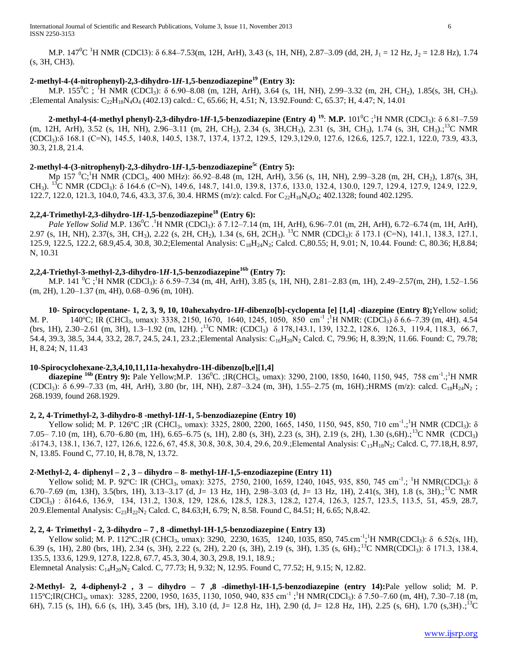M.P.  $147^{\circ}$ C <sup>1</sup>H NMR (CDCl3): δ 6.84–7.53(m, 12H, ArH), 3.43 (s, 1H, NH), 2.87–3.09 (dd, 2H, J<sub>1</sub> = 12 Hz, J<sub>2</sub> = 12.8 Hz), 1.74 (s, 3H, CH3).

# **2-methyl-4-(4-nitrophenyl)-2,3-dihydro-1***H-***1,5-benzodiazepine<sup>19</sup> (Entry 3):**

M.P. 155<sup>0</sup>C; <sup>1</sup>H NMR (CDCl<sub>3</sub>): δ 6.90–8.08 (m, 12H, ArH), 3.64 (s, 1H, NH), 2.99–3.32 (m, 2H, CH<sub>2</sub>), 1.85(s, 3H, CH<sub>3</sub>). ;Elemental Analysis: C<sub>22</sub>H<sub>18</sub>N<sub>4</sub>O<sub>4</sub> (402.13) calcd.: C, 65.66; H, 4.51; N, 13.92.Found: C, 65.37; H, 4.47; N, 14.01

**2-methyl-4-(4-methyl phenyl)-2,3-dihydro-1***H***-1,5-benzodiazepine (Entry 4)<sup>19</sup>: M.P.** 101<sup>0</sup>C ;<sup>1</sup>H NMR (CDCl<sub>3</sub>): δ 6.81–7.59 (m, 12H, ArH), 3.52 (s, 1H, NH), 2.96–3.11 (m, 2H, CH2), 2.34 (s, 3H,CH3), 2.31 (s, 3H, CH3), 1.74 (s, 3H, CH3).;<sup>13</sup>C NMR (CDCl3):δ 168.1 (C=N), 145.5, 140.8, 140.5, 138.7, 137.4, 137.2, 129.5, 129.3,129.0, 127.6, 126.6, 125.7, 122.1, 122.0, 73.9, 43.3, 30.3, 21.8, 21.4.

# **2-methyl-4-(3-nitrophenyl)-2,3-dihydro-1***H***-1,5-benzodiazepine5c (Entry 5):**

Mp 157 <sup>0</sup>C;<sup>1</sup>H NMR (CDCl<sub>3</sub>, 400 MHz): δ6.92–8.48 (m, 12H, ArH), 3.56 (s, 1H, NH), 2.99–3.28 (m, 2H, CH<sub>2</sub>), 1.87(s, 3H, CH<sub>3</sub>). <sup>13</sup>C NMR (CDCl<sub>3</sub>): δ 164.6 (C=N), 149.6, 148.7, 141.0, 139.8, 137.6, 133.0, 132.4, 130.0, 129.7, 129.4, 127.9, 124.9, 122.9, 122.7, 122.0, 121.3, 104.0, 74.6, 43.3, 37.6, 30.4. HRMS (m/z): calcd. For C<sub>22</sub>H<sub>18</sub>N<sub>4</sub>O<sub>4</sub>; 402.1328; found 402.1295.

# **2,2,4-Trimethyl-2,3-dihydro-1***H***-1,5-benzodiazepine<sup>18</sup> (Entry 6):**

*Pale Yellow Solid* M.P. 136<sup>0</sup>C .<sup>1</sup>H NMR (CDCl<sub>3</sub>): δ 7.12–7.14 (m, 1H, ArH), 6.96–7.01 (m, 2H, ArH), 6.72–6.74 (m, 1H, ArH), 2.97 (s, 1H, NH), 2.37(s, 3H, CH3), 2.22 (s, 2H, CH2), 1.34 (s, 6H, 2CH3). <sup>13</sup>C NMR (CDCl3): δ 173.1 (C=N), 141.1, 138.3, 127.1, 125.9, 122.5, 122.2, 68.9,45.4, 30.8, 30.2; Elemental Analysis: C<sub>18</sub>H<sub>24</sub>N<sub>2</sub>; Calcd. C,80.55; H, 9.01; N, 10.44. Found: C, 80.36; H,8.84; N, 10.31

# **2,2,4-Triethyl-3-methyl-2,3-dihydro-1***H***-1,5-benzodiazepine16b (Entry 7):**

M.P. 141 <sup>0</sup>C ;<sup>1</sup>H NMR (CDCl<sub>3</sub>): δ 6.59–7.34 (m, 4H, ArH), 3.85 (s, 1H, NH), 2.81–2.83 (m, 1H), 2.49–2.57(m, 2H), 1.52–1.56 (m, 2H), 1.20–1.37 (m, 4H), 0.68–0.96 (m, 10H).

 **10- Spirocyclopentane- 1, 2, 3, 9, 10, 10ahexahydro-1***H***-dibenzo[b]-cyclopenta [e] [1,4] -diazepine (Entry 8);**Yellow solid; M. P. 140°C; IR (CHCl<sub>3</sub>, υmax): 3338, 2150, 1670, 1640, 1245, 1050, 850 cm<sup>-1</sup>;<sup>1</sup>H NMR: (CDCl<sub>3</sub>) δ 6.6–7.39 (m, 4H). 4.54 (brs, 1H), 2.30–2.61 (m, 3H), 1.3–1.92 (m, 12H). ;<sup>13</sup>C NMR: (CDCl3) δ 178,143.1, 139, 132.2, 128.6, 126.3, 119.4, 118.3, 66.7, 54.4, 39.3, 38.5, 34.4, 33.2, 28.7, 24.5, 24.1, 23.2.;Elemental Analysis: C<sub>16</sub>H<sub>20</sub>N<sub>2</sub> Calcd. C, 79.96; H, 8.39;N, 11.66. Found: C, 79.78; H, 8.24; N, 11.43

# **10-Spirocyclohexane-2,3,4,10,11,11a-hexahydro-1H-dibenzo[b,e][1,4]**

**diazepine** <sup>16b</sup> (Entry 9): Pale Yellow;M.P. 136<sup>0</sup>C.;IR(CHCl<sub>3</sub>, umax): 3290, 2100, 1850, 1640, 1150, 945, 758 cm<sup>-1</sup>.;<sup>1</sup>H NMR  $(CDCl_3)$ : δ 6.99–7.33 (m, 4H, ArH), 3.80 (br, 1H, NH), 2.87–3.24 (m, 3H), 1.55–2.75 (m, 16H).;HRMS (m/z): calcd. C<sub>18</sub>H<sub>24</sub>N<sub>2</sub>; 268.1939, found 268.1929.

# **2, 2, 4-Trimethyl-2, 3-dihydro-8 -methyl-1***H***-1, 5-benzodiazepine (Entry 10)**

Yellow solid; M. P. 126°C ;IR (CHCl<sub>3</sub>, υmax): 3325, 2800, 2200, 1665, 1450, 1150, 945, 850, 710 cm<sup>-1</sup>.;<sup>1</sup>H NMR (CDCl<sub>3</sub>): δ 7.05– 7.10 (m, 1H), 6.70–6.80 (m, 1H), 6.65–6.75 (s, 1H), 2.80 (s, 3H), 2.23 (s, 3H), 2.19 (s, 2H), 1.30 (s, 6H).;<sup>13</sup>C NMR (CDCl<sub>3</sub>) :δ174.3, 138.1, 136.7, 127, 126.6, 122.6, 67, 45.8, 30.8, 30.8, 30.4, 29.6, 20.9.;Elemental Analysis: C<sub>13</sub>H<sub>18</sub>N<sub>2</sub>; Calcd. C, 77.18,H, 8.97, N, 13.85. Found C, 77.10, H, 8.78, N, 13.72.

# **2-Methyl-2, 4- diphenyl – 2 , 3 – dihydro – 8- methyl-1***H***-1,5-enzodiazepine (Entry 11)**

Yellow solid; M. P. 92°C: IR (CHCl<sub>3</sub>, υmax): 3275, 2750, 2100, 1659, 1240, 1045, 935, 850, 745 cm<sup>-1</sup>.; <sup>1</sup>H NMR(CDCl<sub>3</sub>): δ 6.70–7.69 (m, 13H), 3.5(brs, 1H), 3.13–3.17 (d, J= 13 Hz, 1H), 2.98–3.03 (d, J= 13 Hz, 1H), 2.41(s, 3H), 1.8 (s, 3H).;<sup>13</sup>C NMR CDCl3) : δ164.6, 136.9, 134, 131.2, 130.8, 129, 128.6, 128.5, 128.3, 128.2, 127.4, 126.3, 125.7, 123.5, 113.5, 51, 45.9, 28.7, 20.9. Elemental Analysis: C<sub>23</sub>H<sub>22</sub>N<sub>2</sub> Calcd. C, 84.63; H, 6.79; N, 8.58. Found C, 84.51; H, 6.65; N, 8.42.

# **2, 2, 4- Trimethyl - 2, 3-dihydro – 7 , 8 -dimethyl-1H-1,5-benzodiazepine ( Entry 13)**

Yellow solid; M. P. 112°C.; IR (CHCl<sub>3</sub>, υmax): 3290, 2230, 1635, 1240, 1035, 850, 745.cm<sup>-1</sup>;<sup>1</sup>H NMR(CDCl<sub>3</sub>): δ 6.52(s, 1H), 6.39 (s, 1H), 2.80 (brs, 1H), 2.34 (s, 3H), 2.22 (s, 2H), 2.20 (s, 3H), 2.19 (s, 3H), 1.35 (s, 6H).; <sup>13</sup>C NMR(CDCl3): δ 171.3, 138.4, 135.5, 133.6, 129.9, 127.8, 122.8, 67.7, 45.3, 30.4, 30.3, 29.8, 19.1, 18.9.; Elemnetal Analysis: C<sub>14</sub>H<sub>20</sub>N<sub>2</sub> Calcd. C, 77.73; H, 9.32; N, 12.95. Found C, 77.52; H, 9.15; N, 12.82.

**2-Methyl- 2, 4-diphenyl-2 , 3 – dihydro – 7 ,8 -dimethyl-1H-1,5-benzodiazepine (entry 14):**Pale yellow solid; M. P. 115°C;IR(CHCl<sub>3</sub>, υmax): 3285, 2200, 1950, 1635, 1130, 1050, 940, 835 cm<sup>-1</sup>;<sup>1</sup>H NMR(CDCl<sub>3</sub>): δ 7.50–7.60 (m, 4H), 7.30–7.18 (m, 6H), 7.15 (s, 1H), 6.6 (s, 1H), 3.45 (brs, 1H), 3.10 (d, J= 12.8 Hz, 1H), 2.90 (d, J= 12.8 Hz, 1H), 2.25 (s, 6H), 1.70 (s,3H).;<sup>13</sup>C